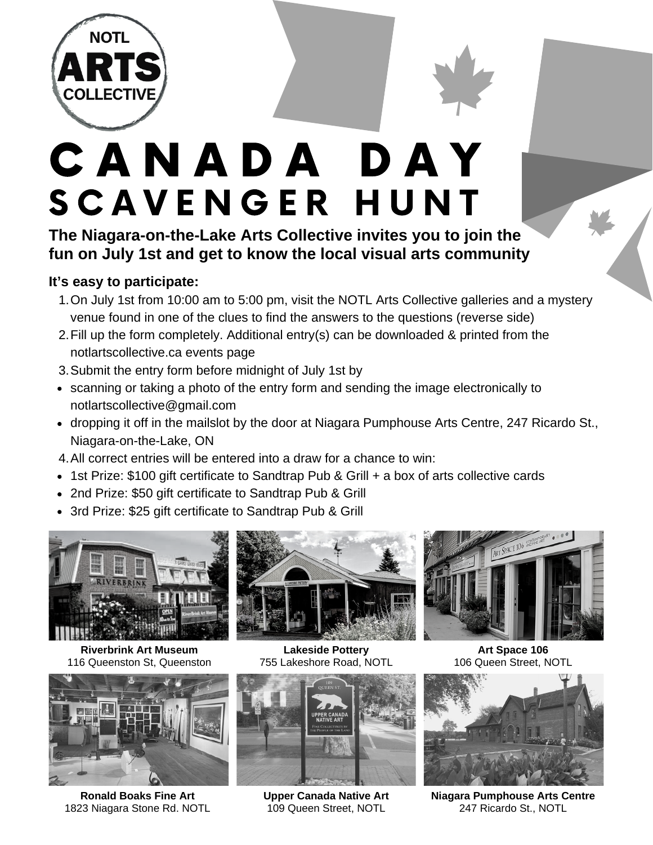

## SCAVENGER HUNT C A N A D A D A Y

**The Niagara-on-the-Lake Arts Collective invites you to join the fun on July 1st and get to know the local visual arts community**

## **It's easy to participate:**

- 1. On July 1st from 10:00 am to 5:00 pm, visit the NOTL Arts Collective galleries and a mystery venue found in one of the clues to find the answers to the questions (reverse side)
- 2. Fill up the form completely. Additional entry(s) can be downloaded & printed from the notlartscollective.ca events page
- Submit the entry form before midnight of July 1st by 3.
- scanning or taking a photo of the entry form and sending the image electronically to [notlartscollective@gmail.com](mailto:notlartscollective@gmail.com)
- dropping it off in the mailslot by the door at Niagara Pumphouse Arts Centre, 247 Ricardo St., Niagara-on-the-Lake, ON
- All correct entries will be entered into a draw for a chance to win: 4.
- 1st Prize: \$100 gift certificate to Sandtrap Pub & Grill + a box of arts collective cards
- 2nd Prize: \$50 gift certificate to Sandtrap Pub & Grill
- 3rd Prize: \$25 gift certificate to Sandtrap Pub & Grill



**Riverbrink Art Museum** 116 Queenston St, Queenston



**Ronald Boaks Fine Art** 1823 Niagara Stone Rd. NOTL





**Upper Canada Native Art** 109 Queen Street, NOTL



**Art Space 106** 106 Queen Street, NOTL



**Niagara Pumphouse Arts Centre** 247 Ricardo St., NOTL